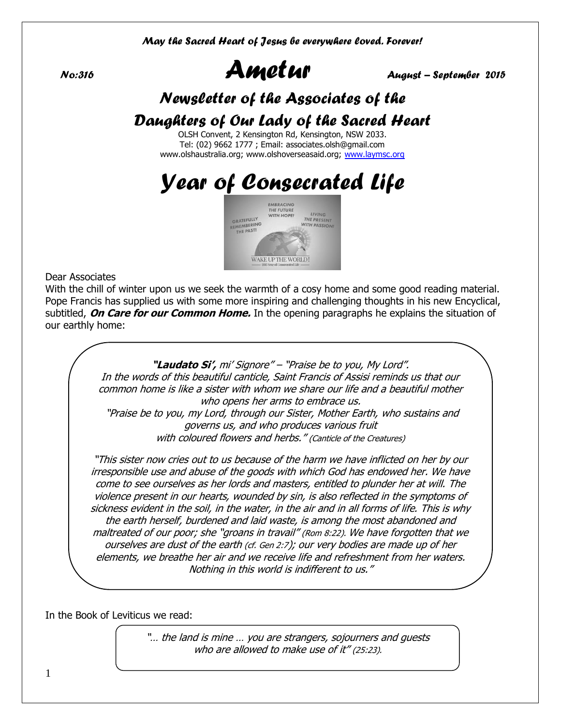

### *Newsletter of the Associates of the*

## *Daughters of Our Lady of the Sacred Heart*

OLSH Convent, 2 Kensington Rd, Kensington, NSW 2033. Tel: (02) 9662 1777 ; Email: associates.olsh@gmail.com www.olshaustralia.org; www.olshoverseasaid.org; [www.laymsc.org](http://www.laymsc.org/)

# *Year of Consecrated Life*



Dear Associates

With the chill of winter upon us we seek the warmth of a cosy home and some good reading material. Pope Francis has supplied us with some more inspiring and challenging thoughts in his new Encyclical, subtitled, **On Care for our Common Home.** In the opening paragraphs he explains the situation of our earthly home:

> **"Laudato Si',** mi' Signore" – "Praise be to you, My Lord". In the words of this beautiful canticle, Saint Francis of Assisi reminds us that our common home is like a sister with whom we share our life and a beautiful mother who opens her arms to embrace us. "Praise be to you, my Lord, through our Sister, Mother Earth, who sustains and governs us, and who produces various fruit with coloured flowers and herbs." (Canticle of the Creatures)

"This sister now cries out to us because of the harm we have inflicted on her by our irresponsible use and abuse of the goods with which God has endowed her. We have come to see ourselves as her lords and masters, entitled to plunder her at will. The violence present in our hearts, wounded by sin, is also reflected in the symptoms of sickness evident in the soil, in the water, in the air and in all forms of life. This is why the earth herself, burdened and laid waste, is among the most abandoned and maltreated of our poor; she "groans in travail" (Rom 8:22). We have forgotten that we ourselves are dust of the earth (cf. Gen 2:7); our very bodies are made up of her elements, we breathe her air and we receive life and refreshment from her waters. Nothing in this world is indifferent to us."

In the Book of Leviticus we read:

"… the land is mine … you are strangers, sojourners and guests who are allowed to make use of it" (25:23).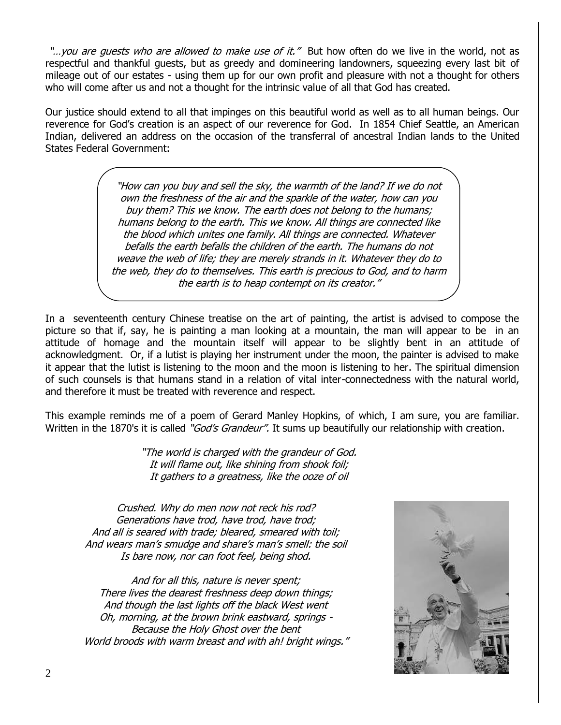"...you are quests who are allowed to make use of it." But how often do we live in the world, not as respectful and thankful guests, but as greedy and domineering landowners, squeezing every last bit of mileage out of our estates - using them up for our own profit and pleasure with not a thought for others who will come after us and not a thought for the intrinsic value of all that God has created.

Our justice should extend to all that impinges on this beautiful world as well as to all human beings. Our reverence for God's creation is an aspect of our reverence for God. In 1854 Chief Seattle, an American Indian, delivered an address on the occasion of the transferral of ancestral Indian lands to the United States Federal Government:

> "How can you buy and sell the sky, the warmth of the land? If we do not own the freshness of the air and the sparkle of the water, how can you buy them? This we know. The earth does not belong to the humans; humans belong to the earth. This we know. All things are connected like the blood which unites one family. All things are connected. Whatever befalls the earth befalls the children of the earth. The humans do not weave the web of life; they are merely strands in it. Whatever they do to the web, they do to themselves. This earth is precious to God, and to harm the earth is to heap contempt on its creator."

In a seventeenth century Chinese treatise on the art of painting, the artist is advised to compose the picture so that if, say, he is painting a man looking at a mountain, the man will appear to be in an attitude of homage and the mountain itself will appear to be slightly bent in an attitude of acknowledgment. Or, if a lutist is playing her instrument under the moon, the painter is advised to make it appear that the lutist is listening to the moon and the moon is listening to her. The spiritual dimension of such counsels is that humans stand in a relation of vital inter-connectedness with the natural world, and therefore it must be treated with reverence and respect.

This example reminds me of a poem of Gerard Manley Hopkins, of which, I am sure, you are familiar. Written in the 1870's it is called "God's Grandeur". It sums up beautifully our relationship with creation.

> "The world is charged with the grandeur of God. It will flame out, like shining from shook foil; It gathers to a greatness, like the ooze of oil

Crushed. Why do men now not reck his rod? Generations have trod, have trod, have trod; And all is seared with trade; bleared, smeared with toil; And wears man's smudge and share's man's smell: the soil Is bare now, nor can foot feel, being shod.

And for all this, nature is never spent; There lives the dearest freshness deep down things; And though the last lights off the black West went Oh, morning, at the brown brink eastward, springs - Because the Holy Ghost over the bent World broods with warm breast and with ah! bright wings."

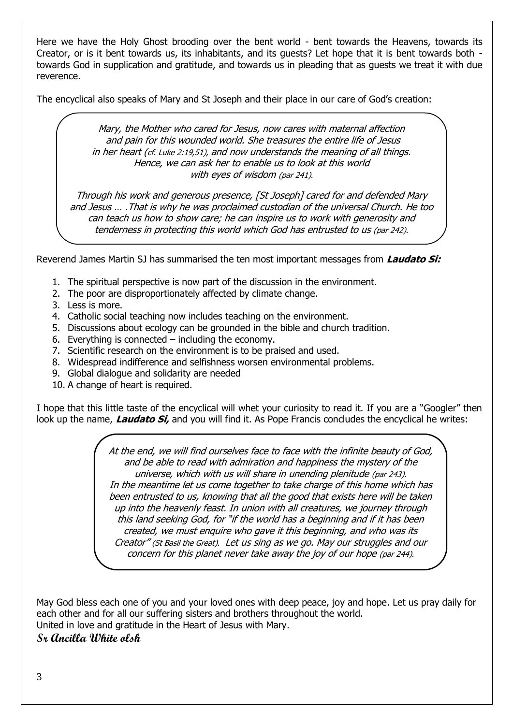Here we have the Holy Ghost brooding over the bent world - bent towards the Heavens, towards its Creator, or is it bent towards us, its inhabitants, and its guests? Let hope that it is bent towards both towards God in supplication and gratitude, and towards us in pleading that as guests we treat it with due reverence.

The encyclical also speaks of Mary and St Joseph and their place in our care of God's creation:

Mary, the Mother who cared for Jesus, now cares with maternal affection and pain for this wounded world. She treasures the entire life of Jesus in her heart (cf. Luke 2:19,51), and now understands the meaning of all things. Hence, we can ask her to enable us to look at this world with eyes of wisdom (par 241).

Through his work and generous presence, [St Joseph] cared for and defended Mary and Jesus … .That is why he was proclaimed custodian of the universal Church. He too can teach us how to show care; he can inspire us to work with generosity and tenderness in protecting this world which God has entrusted to us (par 242).

Reverend James Martin SJ has summarised the ten most important messages from **Laudato Si:**

- 1. The spiritual perspective is now part of the discussion in the environment.
- 2. The poor are disproportionately affected by climate change.
- 3. Less is more.
- 4. Catholic social teaching now includes teaching on the environment.
- 5. Discussions about ecology can be grounded in the bible and church tradition.
- 6. Everything is connected including the economy.
- 7. Scientific research on the environment is to be praised and used.
- 8. Widespread indifference and selfishness worsen environmental problems.
- 9. Global dialogue and solidarity are needed
- 10. A change of heart is required.

I hope that this little taste of the encyclical will whet your curiosity to read it. If you are a "Googler" then look up the name, **Laudato Si,** and you will find it. As Pope Francis concludes the encyclical he writes:

> At the end, we will find ourselves face to face with the infinite beauty of God, and be able to read with admiration and happiness the mystery of the universe, which with us will share in unending plenitude (par 243). In the meantime let us come together to take charge of this home which has been entrusted to us, knowing that all the good that exists here will be taken up into the heavenly feast. In union with all creatures, we journey through this land seeking God, for "if the world has a beginning and if it has been created, we must enquire who gave it this beginning, and who was its Creator" (St Basil the Great). Let us sing as we go. May our struggles and our concern for this planet never take away the joy of our hope (par 244).

May God bless each one of you and your loved ones with deep peace, joy and hope. Let us pray daily for each other and for all our suffering sisters and brothers throughout the world. United in love and gratitude in the Heart of Jesus with Mary. **Sr Ancilla White olsh**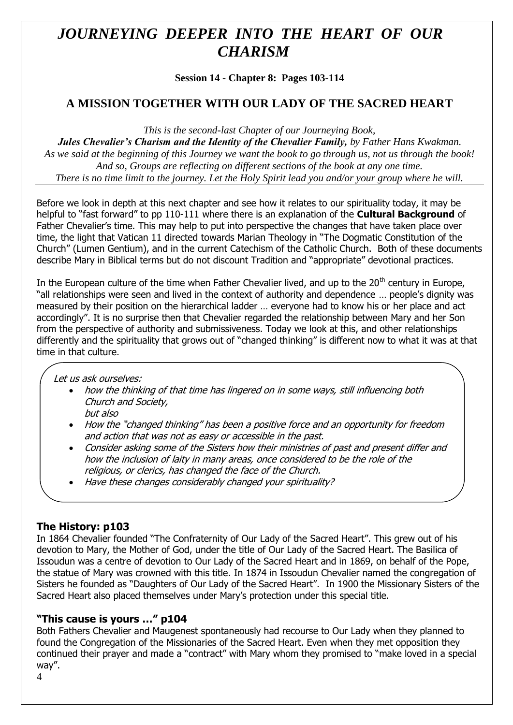## *JOURNEYING DEEPER INTO THE HEART OF OUR CHARISM*

**Session 14 - Chapter 8: Pages 103-114**

#### **A MISSION TOGETHER WITH OUR LADY OF THE SACRED HEART**

*This is the second-last Chapter of our Journeying Book,* 

*Jules Chevalier's Charism and the Identity of the Chevalier Family, by Father Hans Kwakman. As we said at the beginning of this Journey we want the book to go through us, not us through the book! And so, Groups are reflecting on different sections of the book at any one time. There is no time limit to the journey. Let the Holy Spirit lead you and/or your group where he will.* 

Before we look in depth at this next chapter and see how it relates to our spirituality today, it may be helpful to "fast forward" to pp 110-111 where there is an explanation of the **Cultural Background** of Father Chevalier's time. This may help to put into perspective the changes that have taken place over time, the light that Vatican 11 directed towards Marian Theology in "The Dogmatic Constitution of the Church" (Lumen Gentium), and in the current Catechism of the Catholic Church. Both of these documents describe Mary in Biblical terms but do not discount Tradition and "appropriate" devotional practices.

In the European culture of the time when Father Chevalier lived, and up to the 20<sup>th</sup> century in Europe, "all relationships were seen and lived in the context of authority and dependence … people's dignity was measured by their position on the hierarchical ladder … everyone had to know his or her place and act accordingly". It is no surprise then that Chevalier regarded the relationship between Mary and her Son from the perspective of authority and submissiveness. Today we look at this, and other relationships differently and the spirituality that grows out of "changed thinking" is different now to what it was at that time in that culture.

#### Let us ask ourselves:

 how the thinking of that time has lingered on in some ways, still influencing both Church and Society,

but also

- How the "changed thinking" has been a positive force and an opportunity for freedom and action that was not as easy or accessible in the past.
- Consider asking some of the Sisters how their ministries of past and present differ and how the inclusion of laity in many areas, once considered to be the role of the religious, or clerics, has changed the face of the Church.
- Have these changes considerably changed your spirituality?

#### **The History: p103**

In 1864 Chevalier founded "The Confraternity of Our Lady of the Sacred Heart". This grew out of his devotion to Mary, the Mother of God, under the title of Our Lady of the Sacred Heart. The Basilica of Issoudun was a centre of devotion to Our Lady of the Sacred Heart and in 1869, on behalf of the Pope, the statue of Mary was crowned with this title. In 1874 in Issoudun Chevalier named the congregation of Sisters he founded as "Daughters of Our Lady of the Sacred Heart". In 1900 the Missionary Sisters of the Sacred Heart also placed themselves under Mary's protection under this special title.

#### **"This cause is yours …" p104**

Both Fathers Chevalier and Maugenest spontaneously had recourse to Our Lady when they planned to found the Congregation of the Missionaries of the Sacred Heart. Even when they met opposition they continued their prayer and made a "contract" with Mary whom they promised to "make loved in a special way".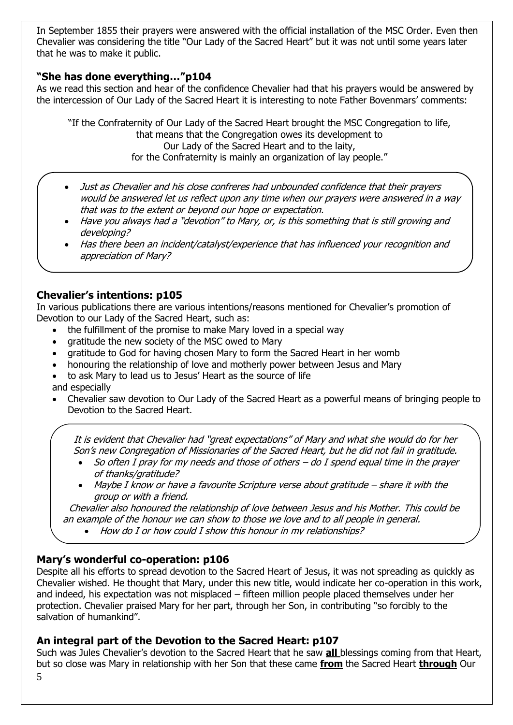In September 1855 their prayers were answered with the official installation of the MSC Order. Even then Chevalier was considering the title "Our Lady of the Sacred Heart" but it was not until some years later that he was to make it public.

#### **"She has done everything…"p104**

As we read this section and hear of the confidence Chevalier had that his prayers would be answered by the intercession of Our Lady of the Sacred Heart it is interesting to note Father Bovenmars' comments:

"If the Confraternity of Our Lady of the Sacred Heart brought the MSC Congregation to life, that means that the Congregation owes its development to Our Lady of the Sacred Heart and to the laity, for the Confraternity is mainly an organization of lay people."

- Just as Chevalier and his close confreres had unbounded confidence that their prayers would be answered let us reflect upon any time when our prayers were answered in a way that was to the extent or beyond our hope or expectation.
- Have you always had a "devotion" to Mary, or, is this something that is still growing and developing?
- Has there been an incident/catalyst/experience that has influenced your recognition and appreciation of Mary?

#### **Chevalier's intentions: p105**

In various publications there are various intentions/reasons mentioned for Chevalier's promotion of Devotion to our Lady of the Sacred Heart, such as:

- the fulfillment of the promise to make Mary loved in a special way
- gratitude the new society of the MSC owed to Mary
- gratitude to God for having chosen Mary to form the Sacred Heart in her womb
- honouring the relationship of love and motherly power between Jesus and Mary
- to ask Mary to lead us to Jesus' Heart as the source of life

and especially

 Chevalier saw devotion to Our Lady of the Sacred Heart as a powerful means of bringing people to Devotion to the Sacred Heart.

It is evident that Chevalier had "great expectations" of Mary and what she would do for her Son's new Congregation of Missionaries of the Sacred Heart, but he did not fail in gratitude.

- So often I pray for my needs and those of others do I spend equal time in the prayer of thanks/gratitude?
- Maybe I know or have a favourite Scripture verse about gratitude share it with the group or with a friend.

Chevalier also honoured the relationship of love between Jesus and his Mother. This could be an example of the honour we can show to those we love and to all people in general.

How do I or how could I show this honour in my relationships?

#### **Mary's wonderful co-operation: p106**

Despite all his efforts to spread devotion to the Sacred Heart of Jesus, it was not spreading as quickly as Chevalier wished. He thought that Mary, under this new title, would indicate her co-operation in this work, and indeed, his expectation was not misplaced – fifteen million people placed themselves under her protection. Chevalier praised Mary for her part, through her Son, in contributing "so forcibly to the salvation of humankind".

#### **An integral part of the Devotion to the Sacred Heart: p107**

Such was Jules Chevalier's devotion to the Sacred Heart that he saw **all** blessings coming from that Heart, but so close was Mary in relationship with her Son that these came **from** the Sacred Heart **through** Our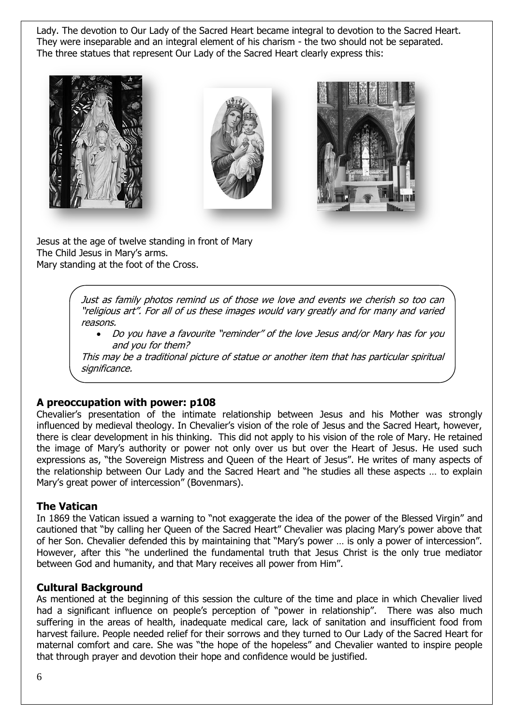Lady. The devotion to Our Lady of the Sacred Heart became integral to devotion to the Sacred Heart. They were inseparable and an integral element of his charism - the two should not be separated. The three statues that represent Our Lady of the Sacred Heart clearly express this:



Jesus at the age of twelve standing in front of Mary The Child Jesus in Mary's arms. Mary standing at the foot of the Cross.

> Just as family photos remind us of those we love and events we cherish so too can "religious art". For all of us these images would vary greatly and for many and varied reasons.

 Do you have a favourite "reminder" of the love Jesus and/or Mary has for you and you for them?

This may be a traditional picture of statue or another item that has particular spiritual significance.

#### **A preoccupation with power: p108**

Chevalier's presentation of the intimate relationship between Jesus and his Mother was strongly A influenced by medieval theology. In Chevalier's vision of the role of Jesus and the Sacred Heart, however, there is clear development in his thinking. This did not apply to his vision of the role of Mary. He retained the image of Mary's authority or power not only over us but over the Heart of Jesus. He used such expressions as, "the Sovereign Mistress and Queen of the Heart of Jesus". He writes of many aspects of the relationship between Our Lady and the Sacred Heart and "he studies all these aspects … to explain Mary's great power of intercession" (Bovenmars).

#### **The Vatican**

In 1869 the Vatican issued a warning to "not exaggerate the idea of the power of the Blessed Virgin" and cautioned that "by calling her Queen of the Sacred Heart" Chevalier was placing Mary's power above that of her Son. Chevalier defended this by maintaining that "Mary's power … is only a power of intercession". However, after this "he underlined the fundamental truth that Jesus Christ is the only true mediator between God and humanity, and that Mary receives all power from Him".

#### **Cultural Background**

As mentioned at the beginning of this session the culture of the time and place in which Chevalier lived had a significant influence on people's perception of "power in relationship". There was also much suffering in the areas of health, inadequate medical care, lack of sanitation and insufficient food from harvest failure. People needed relief for their sorrows and they turned to Our Lady of the Sacred Heart for maternal comfort and care. She was "the hope of the hopeless" and Chevalier wanted to inspire people that through prayer and devotion their hope and confidence would be justified.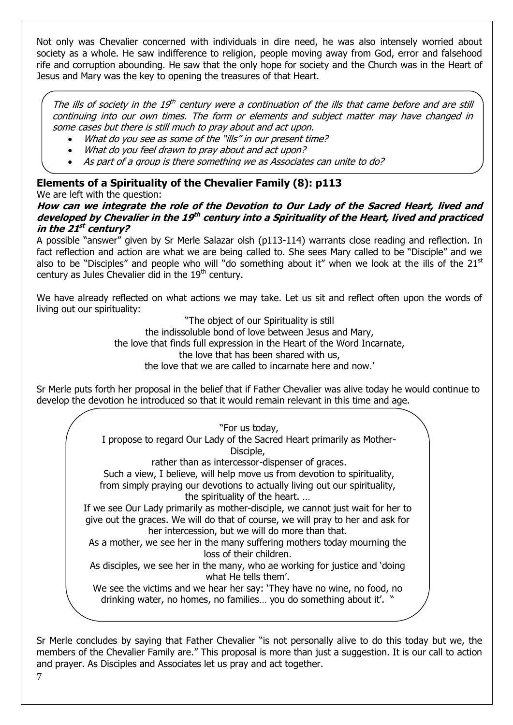Not only was Chevalier concerned with individuals in dire need, he was also intensely worried about society as a whole. He saw indifference to religion, people moving away from God, error and falsehood rife and corruption abounding. He saw that the only hope for society and the Church was in the Heart of Jesus and Mary was the key to opening the treasures of that Heart.

The ills of society in the 19<sup>th</sup> century were a continuation of the ills that came before and are still continuing into our own times. The form or elements and subject matter may have changed in some cases but there is still much to pray about and act upon.

- What do you see as some of the "ills" in our present time?
- What do you feel drawn to pray about and act upon?
- As part of a group is there something we as Associates can unite to do?

#### **Elements of a Spirituality of the Chevalier Family (8): p113**

We are left with the question:

#### **How can we integrate the role of the Devotion to Our Lady of the Sacred Heart, lived and**  developed by Chevalier in the 19<sup>th</sup> century into a Spirituality of the Heart, lived and practiced **in the 21 st century?**

A possible "answer" given by Sr Merle Salazar olsh (p113-114) warrants close reading and reflection. In fact reflection and action are what we are being called to. She sees Mary called to be "Disciple" and we also to be "Disciples" and people who will "do something about it" when we look at the ills of the 21<sup>st</sup> century as Jules Chevalier did in the 19<sup>th</sup> century.

We have already reflected on what actions we may take. Let us sit and reflect often upon the words of living out our spirituality:

> "The object of our Spirituality is still the indissoluble bond of love between Jesus and Mary, the love that finds full expression in the Heart of the Word Incarnate, the love that has been shared with us, the love that we are called to incarnate here and now.'

Sr Merle puts forth her proposal in the belief that if Father Chevalier was alive today he would continue to develop the devotion he introduced so that it would remain relevant in this time and age.

"For us today, I propose to regard Our Lady of the Sacred Heart primarily as Mother-Disciple, rather than as intercessor-dispenser of graces. Such a view, I believe, will help move us from devotion to spirituality, from simply praying our devotions to actually living out our spirituality, the spirituality of the heart. … If we see Our Lady primarily as mother-disciple, we cannot just wait for her to give out the graces. We will do that of course, we will pray to her and ask for her intercession, but we will do more than that. As a mother, we see her in the many suffering mothers today mourning the loss of their children. As disciples, we see her in the many, who ae working for justice and 'doing what He tells them'. We see the victims and we hear her say: 'They have no wine, no food, no drinking water, no homes, no families... you do something about it'.

Sr Merle concludes by saying that Father Chevalier "is not personally alive to do this today but we, the members of the Chevalier Family are." This proposal is more than just a suggestion. It is our call to action and prayer. As Disciples and Associates let us pray and act together.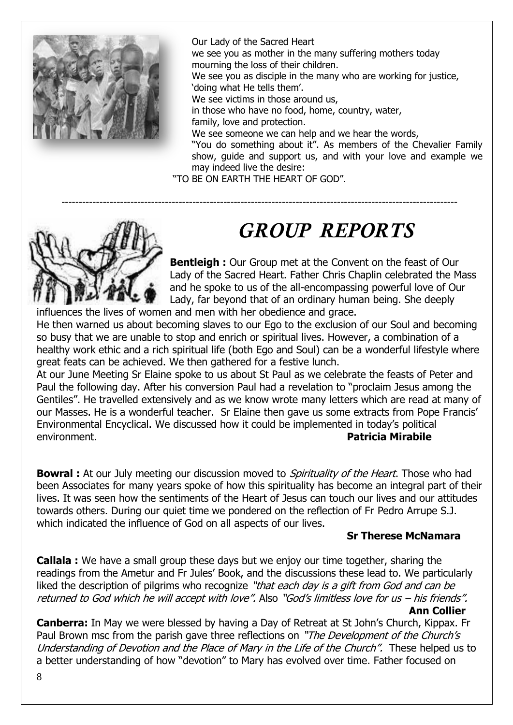

Our Lady of the Sacred Heart we see you as mother in the many suffering mothers today mourning the loss of their children. We see you as disciple in the many who are working for justice, 'doing what He tells them'. We see victims in those around us, in those who have no food, home, country, water, family, love and protection. We see someone we can help and we hear the words, "You do something about it". As members of the Chevalier Family show, guide and support us, and with your love and example we may indeed live the desire:

"TO BE ON EARTH THE HEART OF GOD".

-------------------------------------------------------------------------------------------------------------------



# *GROUP REPORTS*

**Bentleigh :** Our Group met at the Convent on the feast of Our Lady of the Sacred Heart. Father Chris Chaplin celebrated the Mass and he spoke to us of the all-encompassing powerful love of Our Lady, far beyond that of an ordinary human being. She deeply

influences the lives of women and men with her obedience and grace. He then warned us about becoming slaves to our Ego to the exclusion of our Soul and becoming so busy that we are unable to stop and enrich or spiritual lives. However, a combination of a healthy work ethic and a rich spiritual life (both Ego and Soul) can be a wonderful lifestyle where great feats can be achieved. We then gathered for a festive lunch.

At our June Meeting Sr Elaine spoke to us about St Paul as we celebrate the feasts of Peter and Paul the following day. After his conversion Paul had a revelation to "proclaim Jesus among the Gentiles". He travelled extensively and as we know wrote many letters which are read at many of our Masses. He is a wonderful teacher. Sr Elaine then gave us some extracts from Pope Francis' Environmental Encyclical. We discussed how it could be implemented in today's political environment. **Patricia Mirabile** 

**Bowral :** At our July meeting our discussion moved to *Spirituality of the Heart*. Those who had been Associates for many years spoke of how this spirituality has become an integral part of their lives. It was seen how the sentiments of the Heart of Jesus can touch our lives and our attitudes towards others. During our quiet time we pondered on the reflection of Fr Pedro Arrupe S.J. which indicated the influence of God on all aspects of our lives.

#### **Sr Therese McNamara**

**Callala :** We have a small group these days but we enjoy our time together, sharing the readings from the Ametur and Fr Jules' Book, and the discussions these lead to. We particularly liked the description of pilgrims who recognize "that each day is a gift from God and can be returned to God which he will accept with love". Also "God's limitless love for us – his friends".

**Ann Collier**

**Canberra:** In May we were blessed by having a Day of Retreat at St John's Church, Kippax. Fr Paul Brown msc from the parish gave three reflections on "*The Development of the Church's* Understanding of Devotion and the Place of Mary in the Life of the Church". These helped us to a better understanding of how "devotion" to Mary has evolved over time. Father focused on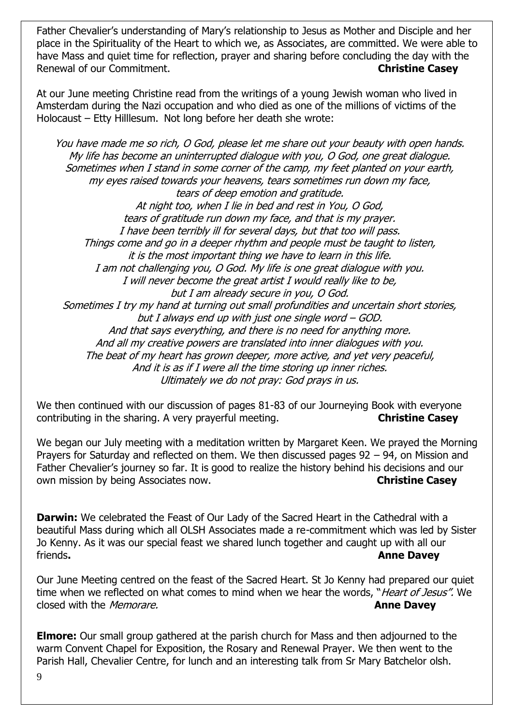Father Chevalier's understanding of Mary's relationship to Jesus as Mother and Disciple and her place in the Spirituality of the Heart to which we, as Associates, are committed. We were able to have Mass and quiet time for reflection, prayer and sharing before concluding the day with the Renewal of our Commitment. **Christine Casey** 

At our June meeting Christine read from the writings of a young Jewish woman who lived in Amsterdam during the Nazi occupation and who died as one of the millions of victims of the Holocaust – Etty Hilllesum. Not long before her death she wrote:

You have made me so rich, O God, please let me share out your beauty with open hands. My life has become an uninterrupted dialogue with you, O God, one great dialogue. Sometimes when I stand in some corner of the camp, my feet planted on your earth, my eyes raised towards your heavens, tears sometimes run down my face, tears of deep emotion and gratitude. At night too, when I lie in bed and rest in You, O God, tears of gratitude run down my face, and that is my prayer. I have been terribly ill for several days, but that too will pass. Things come and go in a deeper rhythm and people must be taught to listen, it is the most important thing we have to learn in this life. I am not challenging you, O God. My life is one great dialogue with you. I will never become the great artist I would really like to be, but I am already secure in you, O God. Sometimes I try my hand at turning out small profundities and uncertain short stories, but I always end up with just one single word – GOD. And that says everything, and there is no need for anything more. And all my creative powers are translated into inner dialogues with you. The beat of my heart has grown deeper, more active, and yet very peaceful, And it is as if I were all the time storing up inner riches. Ultimately we do not pray: God prays in us.

We then continued with our discussion of pages 81-83 of our Journeying Book with everyone contributing in the sharing. A very prayerful meeting. **Christine Casey**

We began our July meeting with a meditation written by Margaret Keen. We prayed the Morning Prayers for Saturday and reflected on them. We then discussed pages 92 – 94, on Mission and Father Chevalier's journey so far. It is good to realize the history behind his decisions and our own mission by being Associates now. **Christine Casey**

**Darwin:** We celebrated the Feast of Our Lady of the Sacred Heart in the Cathedral with a beautiful Mass during which all OLSH Associates made a re-commitment which was led by Sister Jo Kenny. As it was our special feast we shared lunch together and caught up with all our friends**. Anne Davey**

Our June Meeting centred on the feast of the Sacred Heart. St Jo Kenny had prepared our quiet time when we reflected on what comes to mind when we hear the words, "*Heart of Jesus"*. We closed with the Memorare. **Anne Davey** 

**Elmore:** Our small group gathered at the parish church for Mass and then adjourned to the warm Convent Chapel for Exposition, the Rosary and Renewal Prayer. We then went to the Parish Hall, Chevalier Centre, for lunch and an interesting talk from Sr Mary Batchelor olsh.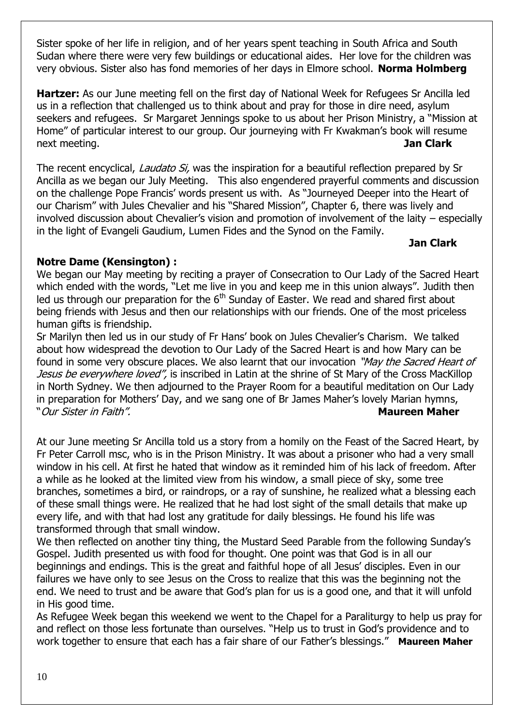Sister spoke of her life in religion, and of her years spent teaching in South Africa and South Sudan where there were very few buildings or educational aides. Her love for the children was very obvious. Sister also has fond memories of her days in Elmore school. **Norma Holmberg**

**Hartzer:** As our June meeting fell on the first day of National Week for Refugees Sr Ancilla led us in a reflection that challenged us to think about and pray for those in dire need, asylum seekers and refugees. Sr Margaret Jennings spoke to us about her Prison Ministry, a "Mission at Home" of particular interest to our group. Our journeving with Fr Kwakman's book will resume next meeting. **Jan Clark**

The recent encyclical, *Laudato Si*, was the inspiration for a beautiful reflection prepared by Sr Ancilla as we began our July Meeting. This also engendered prayerful comments and discussion on the challenge Pope Francis' words present us with. As "Journeyed Deeper into the Heart of our Charism" with Jules Chevalier and his "Shared Mission", Chapter 6, there was lively and involved discussion about Chevalier's vision and promotion of involvement of the laity – especially in the light of Evangeli Gaudium, Lumen Fides and the Synod on the Family.

#### **Jan Clark**

#### **Notre Dame (Kensington) :**

We began our May meeting by reciting a prayer of Consecration to Our Lady of the Sacred Heart which ended with the words, "Let me live in you and keep me in this union always". Judith then led us through our preparation for the  $6<sup>th</sup>$  Sunday of Easter. We read and shared first about being friends with Jesus and then our relationships with our friends. One of the most priceless human gifts is friendship.

Sr Marilyn then led us in our study of Fr Hans' book on Jules Chevalier's Charism. We talked about how widespread the devotion to Our Lady of the Sacred Heart is and how Mary can be found in some very obscure places. We also learnt that our invocation "May the Sacred Heart of Jesus be everywhere loved", is inscribed in Latin at the shrine of St Mary of the Cross MacKillop in North Sydney. We then adjourned to the Prayer Room for a beautiful meditation on Our Lady in preparation for Mothers' Day, and we sang one of Br James Maher's lovely Marian hymns, "Our Sister in Faith". **Maureen Maher**

At our June meeting Sr Ancilla told us a story from a homily on the Feast of the Sacred Heart, by Fr Peter Carroll msc, who is in the Prison Ministry. It was about a prisoner who had a very small window in his cell. At first he hated that window as it reminded him of his lack of freedom. After a while as he looked at the limited view from his window, a small piece of sky, some tree branches, sometimes a bird, or raindrops, or a ray of sunshine, he realized what a blessing each of these small things were. He realized that he had lost sight of the small details that make up every life, and with that had lost any gratitude for daily blessings. He found his life was transformed through that small window.

We then reflected on another tiny thing, the Mustard Seed Parable from the following Sunday's Gospel. Judith presented us with food for thought. One point was that God is in all our beginnings and endings. This is the great and faithful hope of all Jesus' disciples. Even in our failures we have only to see Jesus on the Cross to realize that this was the beginning not the end. We need to trust and be aware that God's plan for us is a good one, and that it will unfold in His good time.

As Refugee Week began this weekend we went to the Chapel for a Paraliturgy to help us pray for and reflect on those less fortunate than ourselves. "Help us to trust in God's providence and to work together to ensure that each has a fair share of our Father's blessings." **Maureen Maher**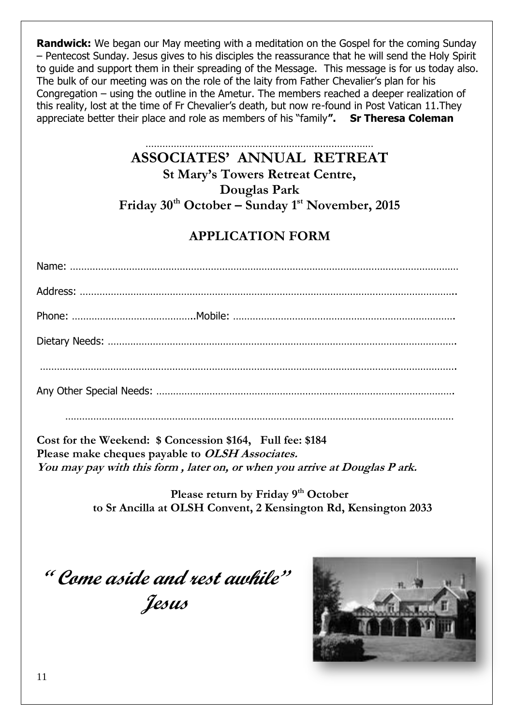**Randwick:** We began our May meeting with a meditation on the Gospel for the coming Sunday – Pentecost Sunday. Jesus gives to his disciples the reassurance that he will send the Holy Spirit to guide and support them in their spreading of the Message. This message is for us today also. The bulk of our meeting was on the role of the laity from Father Chevalier's plan for his Congregation – using the outline in the Ametur. The members reached a deeper realization of this reality, lost at the time of Fr Chevalier's death, but now re-found in Post Vatican 11.They appreciate better their place and role as members of his "family**". Sr Theresa Coleman** 

### ……………………………………………………………………… **ASSOCIATES' ANNUAL RETREAT St Mary's Towers Retreat Centre, Douglas Park Friday 30th October – Sunday 1st November, 2015**

### **APPLICATION FORM**

**Cost for the Weekend: \$ Concession \$164, Full fee: \$184 Please make cheques payable to OLSH Associates. You may pay with this form , later on, or when you arrive at Douglas P ark.** 

> **Please return by Friday 9th October to Sr Ancilla at OLSH Convent, 2 Kensington Rd, Kensington 2033**

**" Come aside and rest awhile" Jesus**